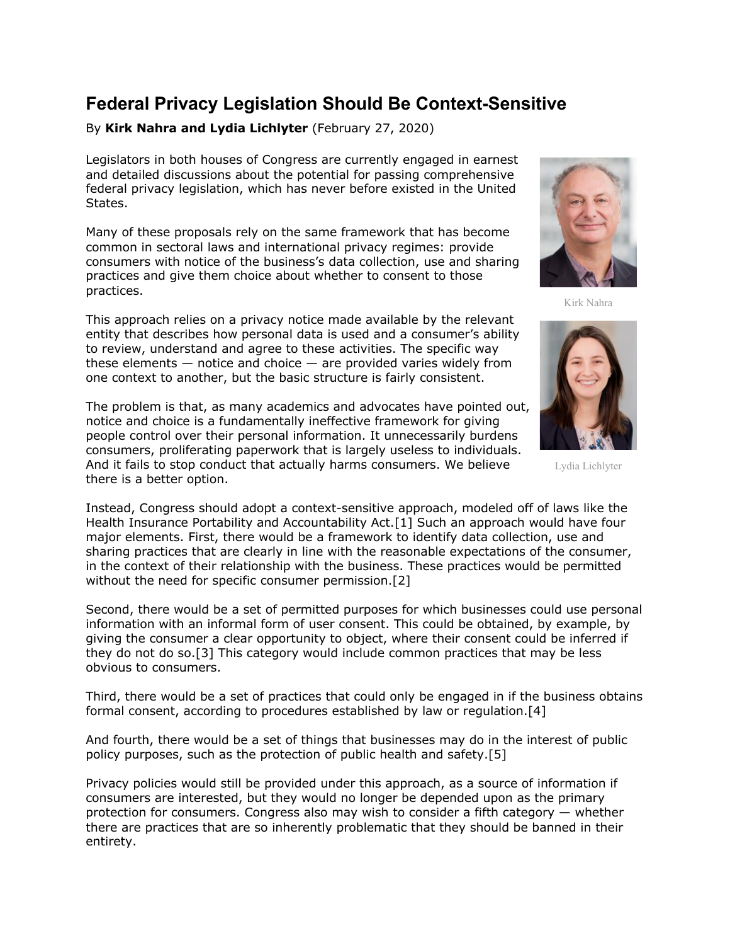## **Federal Privacy Legislation Should Be Context-Sensitive**

By **Kirk Nahra and Lydia Lichlyter** (February 27, 2020)

Legislators in both houses of Congress are currently engaged in earnest and detailed discussions about the potential for passing comprehensive federal privacy legislation, which has never before existed in the United States.

Many of these proposals rely on the same framework that has become common in sectoral laws and international privacy regimes: provide consumers with notice of the business's data collection, use and sharing practices and give them choice about whether to consent to those practices.

This approach relies on a privacy notice made available by the relevant entity that describes how personal data is used and a consumer's ability to review, understand and agree to these activities. The specific way these elements  $-$  notice and choice  $-$  are provided varies widely from one context to another, but the basic structure is fairly consistent.

The problem is that, as many academics and advocates have pointed out, notice and choice is a fundamentally ineffective framework for giving people control over their personal information. It unnecessarily burdens consumers, proliferating paperwork that is largely useless to individuals. And it fails to stop conduct that actually harms consumers. We believe there is a better option.

Instead, Congress should adopt a context-sensitive approach, modeled off of laws like the Health Insurance Portability and Accountability Act.[1] Such an approach would have four major elements. First, there would be a framework to identify data collection, use and sharing practices that are clearly in line with the reasonable expectations of the consumer, in the context of their relationship with the business. These practices would be permitted without the need for specific consumer permission.[2]

Second, there would be a set of permitted purposes for which businesses could use personal information with an informal form of user consent. This could be obtained, by example, by giving the consumer a clear opportunity to object, where their consent could be inferred if they do not do so.[3] This category would include common practices that may be less obvious to consumers.

Third, there would be a set of practices that could only be engaged in if the business obtains formal consent, according to procedures established by law or regulation.[4]

And fourth, there would be a set of things that businesses may do in the interest of public policy purposes, such as the protection of public health and safety.[5]

Privacy policies would still be provided under this approach, as a source of information if consumers are interested, but they would no longer be depended upon as the primary protection for consumers. Congress also may wish to consider a fifth category — whether there are practices that are so inherently problematic that they should be banned in their entirety.



Kirk Nahra



Lydia Lichlyter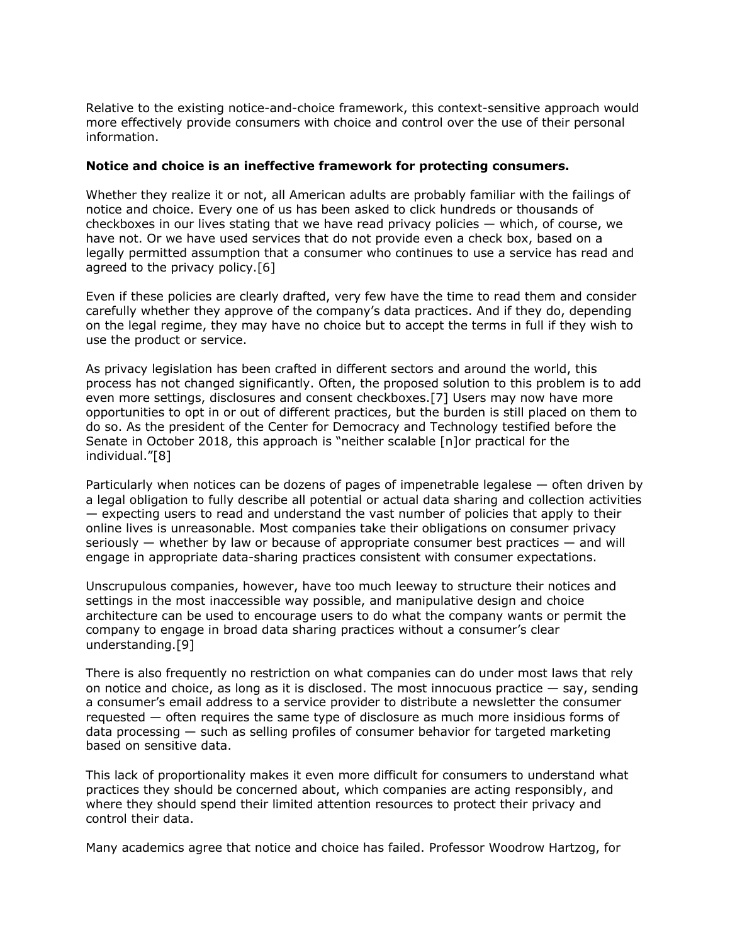Relative to the existing notice-and-choice framework, this context-sensitive approach would more effectively provide consumers with choice and control over the use of their personal information.

## **Notice and choice is an ineffective framework for protecting consumers.**

Whether they realize it or not, all American adults are probably familiar with the failings of notice and choice. Every one of us has been asked to click hundreds or thousands of checkboxes in our lives stating that we have read privacy policies — which, of course, we have not. Or we have used services that do not provide even a check box, based on a legally permitted assumption that a consumer who continues to use a service has read and agreed to the privacy policy.[6]

Even if these policies are clearly drafted, very few have the time to read them and consider carefully whether they approve of the company's data practices. And if they do, depending on the legal regime, they may have no choice but to accept the terms in full if they wish to use the product or service.

As privacy legislation has been crafted in different sectors and around the world, this process has not changed significantly. Often, the proposed solution to this problem is to add even more settings, disclosures and consent checkboxes.[7] Users may now have more opportunities to opt in or out of different practices, but the burden is still placed on them to do so. As the president of the Center for Democracy and Technology testified before the Senate in October 2018, this approach is "neither scalable [n]or practical for the individual."[8]

Particularly when notices can be dozens of pages of impenetrable legalese — often driven by a legal obligation to fully describe all potential or actual data sharing and collection activities — expecting users to read and understand the vast number of policies that apply to their online lives is unreasonable. Most companies take their obligations on consumer privacy seriously  $-$  whether by law or because of appropriate consumer best practices  $-$  and will engage in appropriate data-sharing practices consistent with consumer expectations.

Unscrupulous companies, however, have too much leeway to structure their notices and settings in the most inaccessible way possible, and manipulative design and choice architecture can be used to encourage users to do what the company wants or permit the company to engage in broad data sharing practices without a consumer's clear understanding.[9]

There is also frequently no restriction on what companies can do under most laws that rely on notice and choice, as long as it is disclosed. The most innocuous practice  $-$  say, sending a consumer's email address to a service provider to distribute a newsletter the consumer requested — often requires the same type of disclosure as much more insidious forms of data processing — such as selling profiles of consumer behavior for targeted marketing based on sensitive data.

This lack of proportionality makes it even more difficult for consumers to understand what practices they should be concerned about, which companies are acting responsibly, and where they should spend their limited attention resources to protect their privacy and control their data.

Many academics agree that notice and choice has failed. Professor Woodrow Hartzog, for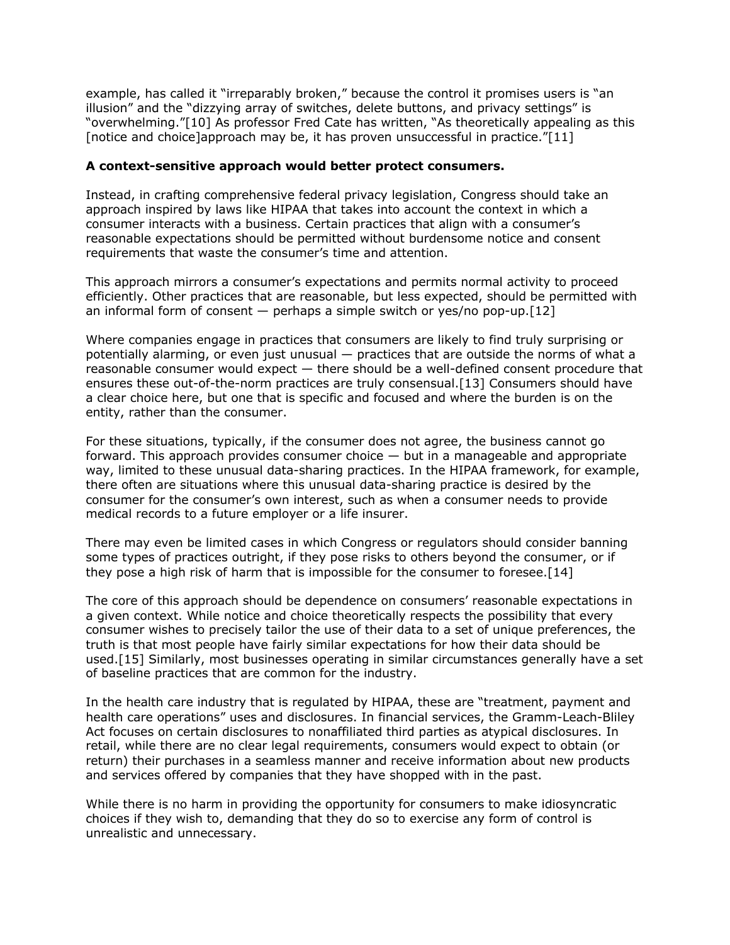example, has called it "irreparably broken," because the control it promises users is "an illusion" and the "dizzying array of switches, delete buttons, and privacy settings" is "overwhelming."[10] As professor Fred Cate has written, "As theoretically appealing as this [notice and choice]approach may be, it has proven unsuccessful in practice."[11]

## **A context-sensitive approach would better protect consumers.**

Instead, in crafting comprehensive federal privacy legislation, Congress should take an approach inspired by laws like HIPAA that takes into account the context in which a consumer interacts with a business. Certain practices that align with a consumer's reasonable expectations should be permitted without burdensome notice and consent requirements that waste the consumer's time and attention.

This approach mirrors a consumer's expectations and permits normal activity to proceed efficiently. Other practices that are reasonable, but less expected, should be permitted with an informal form of consent — perhaps a simple switch or yes/no pop-up.[12]

Where companies engage in practices that consumers are likely to find truly surprising or potentially alarming, or even just unusual — practices that are outside the norms of what a reasonable consumer would expect — there should be a well-defined consent procedure that ensures these out-of-the-norm practices are truly consensual.[13] Consumers should have a clear choice here, but one that is specific and focused and where the burden is on the entity, rather than the consumer.

For these situations, typically, if the consumer does not agree, the business cannot go forward. This approach provides consumer choice  $-$  but in a manageable and appropriate way, limited to these unusual data-sharing practices. In the HIPAA framework, for example, there often are situations where this unusual data-sharing practice is desired by the consumer for the consumer's own interest, such as when a consumer needs to provide medical records to a future employer or a life insurer.

There may even be limited cases in which Congress or regulators should consider banning some types of practices outright, if they pose risks to others beyond the consumer, or if they pose a high risk of harm that is impossible for the consumer to foresee.[14]

The core of this approach should be dependence on consumers' reasonable expectations in a given context. While notice and choice theoretically respects the possibility that every consumer wishes to precisely tailor the use of their data to a set of unique preferences, the truth is that most people have fairly similar expectations for how their data should be used.[15] Similarly, most businesses operating in similar circumstances generally have a set of baseline practices that are common for the industry.

In the health care industry that is regulated by HIPAA, these are "treatment, payment and health care operations" uses and disclosures. In financial services, the Gramm-Leach-Bliley Act focuses on certain disclosures to nonaffiliated third parties as atypical disclosures. In retail, while there are no clear legal requirements, consumers would expect to obtain (or return) their purchases in a seamless manner and receive information about new products and services offered by companies that they have shopped with in the past.

While there is no harm in providing the opportunity for consumers to make idiosyncratic choices if they wish to, demanding that they do so to exercise any form of control is unrealistic and unnecessary.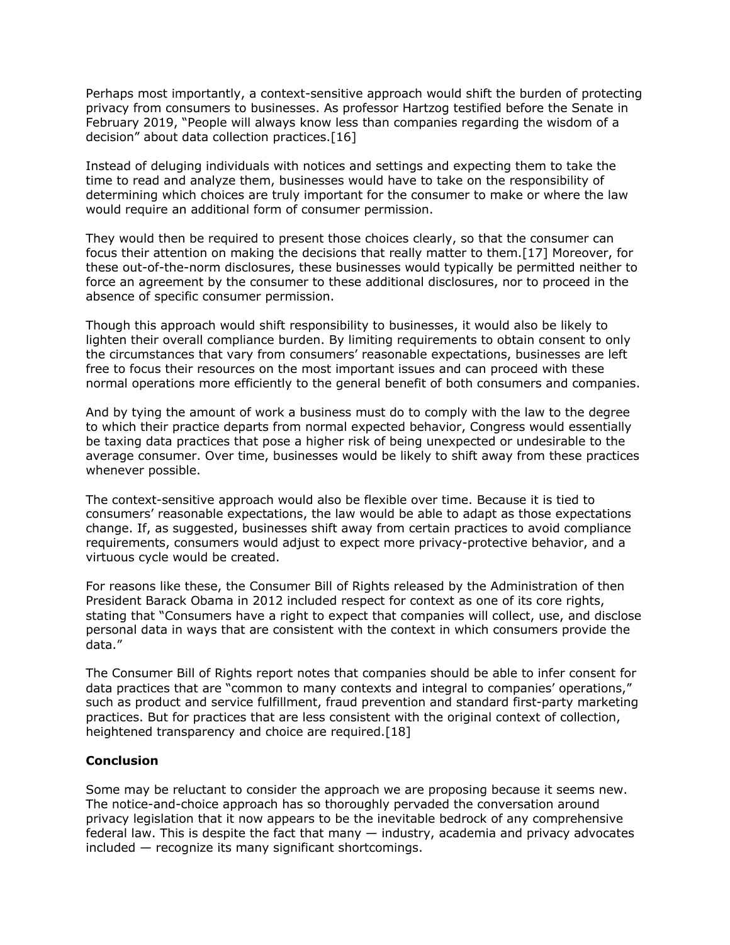Perhaps most importantly, a context-sensitive approach would shift the burden of protecting privacy from consumers to businesses. As professor Hartzog testified before the Senate in February 2019, "People will always know less than companies regarding the wisdom of a decision" about data collection practices.[16]

Instead of deluging individuals with notices and settings and expecting them to take the time to read and analyze them, businesses would have to take on the responsibility of determining which choices are truly important for the consumer to make or where the law would require an additional form of consumer permission.

They would then be required to present those choices clearly, so that the consumer can focus their attention on making the decisions that really matter to them.[17] Moreover, for these out-of-the-norm disclosures, these businesses would typically be permitted neither to force an agreement by the consumer to these additional disclosures, nor to proceed in the absence of specific consumer permission.

Though this approach would shift responsibility to businesses, it would also be likely to lighten their overall compliance burden. By limiting requirements to obtain consent to only the circumstances that vary from consumers' reasonable expectations, businesses are left free to focus their resources on the most important issues and can proceed with these normal operations more efficiently to the general benefit of both consumers and companies.

And by tying the amount of work a business must do to comply with the law to the degree to which their practice departs from normal expected behavior, Congress would essentially be taxing data practices that pose a higher risk of being unexpected or undesirable to the average consumer. Over time, businesses would be likely to shift away from these practices whenever possible.

The context-sensitive approach would also be flexible over time. Because it is tied to consumers' reasonable expectations, the law would be able to adapt as those expectations change. If, as suggested, businesses shift away from certain practices to avoid compliance requirements, consumers would adjust to expect more privacy-protective behavior, and a virtuous cycle would be created.

For reasons like these, the Consumer Bill of Rights released by the Administration of then President Barack Obama in 2012 included respect for context as one of its core rights, stating that "Consumers have a right to expect that companies will collect, use, and disclose personal data in ways that are consistent with the context in which consumers provide the data."

The Consumer Bill of Rights report notes that companies should be able to infer consent for data practices that are "common to many contexts and integral to companies' operations," such as product and service fulfillment, fraud prevention and standard first-party marketing practices. But for practices that are less consistent with the original context of collection, heightened transparency and choice are required.[18]

## **Conclusion**

Some may be reluctant to consider the approach we are proposing because it seems new. The notice-and-choice approach has so thoroughly pervaded the conversation around privacy legislation that it now appears to be the inevitable bedrock of any comprehensive federal law. This is despite the fact that many — industry, academia and privacy advocates included — recognize its many significant shortcomings.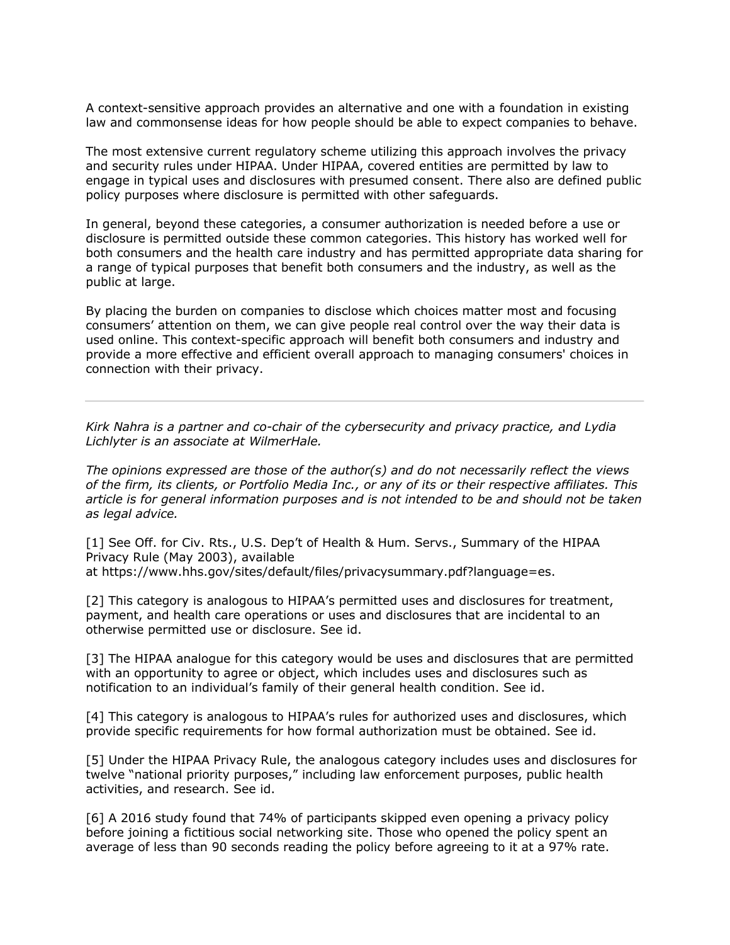A context-sensitive approach provides an alternative and one with a foundation in existing law and commonsense ideas for how people should be able to expect companies to behave.

The most extensive current regulatory scheme utilizing this approach involves the privacy and security rules under HIPAA. Under HIPAA, covered entities are permitted by law to engage in typical uses and disclosures with presumed consent. There also are defined public policy purposes where disclosure is permitted with other safeguards.

In general, beyond these categories, a consumer authorization is needed before a use or disclosure is permitted outside these common categories. This history has worked well for both consumers and the health care industry and has permitted appropriate data sharing for a range of typical purposes that benefit both consumers and the industry, as well as the public at large.

By placing the burden on companies to disclose which choices matter most and focusing consumers' attention on them, we can give people real control over the way their data is used online. This context-specific approach will benefit both consumers and industry and provide a more effective and efficient overall approach to managing consumers' choices in connection with their privacy.

*Kirk Nahra is a partner and co-chair of the cybersecurity and privacy practice, and Lydia Lichlyter is an associate at WilmerHale.*

*The opinions expressed are those of the author(s) and do not necessarily reflect the views of the firm, its clients, or Portfolio Media Inc., or any of its or their respective affiliates. This article is for general information purposes and is not intended to be and should not be taken as legal advice.*

[1] See Off. for Civ. Rts., U.S. Dep't of Health & Hum. Servs., Summary of the HIPAA Privacy Rule (May 2003), available at https://www.hhs.gov/sites/default/files/privacysummary.pdf?language=es.

[2] This category is analogous to HIPAA's permitted uses and disclosures for treatment, payment, and health care operations or uses and disclosures that are incidental to an otherwise permitted use or disclosure. See id.

[3] The HIPAA analogue for this category would be uses and disclosures that are permitted with an opportunity to agree or object, which includes uses and disclosures such as notification to an individual's family of their general health condition. See id.

[4] This category is analogous to HIPAA's rules for authorized uses and disclosures, which provide specific requirements for how formal authorization must be obtained. See id.

[5] Under the HIPAA Privacy Rule, the analogous category includes uses and disclosures for twelve "national priority purposes," including law enforcement purposes, public health activities, and research. See id.

[6] A 2016 study found that 74% of participants skipped even opening a privacy policy before joining a fictitious social networking site. Those who opened the policy spent an average of less than 90 seconds reading the policy before agreeing to it at a 97% rate.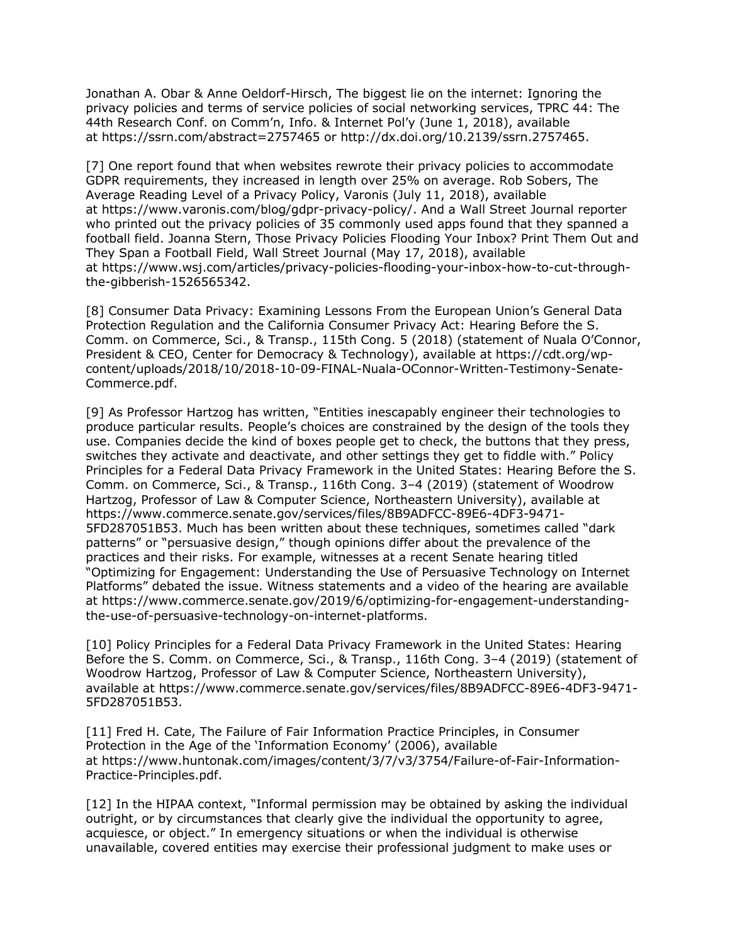Jonathan A. Obar & Anne Oeldorf-Hirsch, The biggest lie on the internet: Ignoring the privacy policies and terms of service policies of social networking services, TPRC 44: The 44th Research Conf. on Comm'n, Info. & Internet Pol'y (June 1, 2018), available at https://ssrn.com/abstract=2757465 or http://dx.doi.org/10.2139/ssrn.2757465.

[7] One report found that when websites rewrote their privacy policies to accommodate GDPR requirements, they increased in length over 25% on average. Rob Sobers, The Average Reading Level of a Privacy Policy, Varonis (July 11, 2018), available at https://www.varonis.com/blog/gdpr-privacy-policy/. And a Wall Street Journal reporter who printed out the privacy policies of 35 commonly used apps found that they spanned a football field. Joanna Stern, Those Privacy Policies Flooding Your Inbox? Print Them Out and They Span a Football Field, Wall Street Journal (May 17, 2018), available at https://www.wsj.com/articles/privacy-policies-flooding-your-inbox-how-to-cut-throughthe-gibberish-1526565342.

[8] Consumer Data Privacy: Examining Lessons From the European Union's General Data Protection Regulation and the California Consumer Privacy Act: Hearing Before the S. Comm. on Commerce, Sci., & Transp., 115th Cong. 5 (2018) (statement of Nuala O'Connor, President & CEO, Center for Democracy & Technology), available at https://cdt.org/wpcontent/uploads/2018/10/2018-10-09-FINAL-Nuala-OConnor-Written-Testimony-Senate-Commerce.pdf.

[9] As Professor Hartzog has written, "Entities inescapably engineer their technologies to produce particular results. People's choices are constrained by the design of the tools they use. Companies decide the kind of boxes people get to check, the buttons that they press, switches they activate and deactivate, and other settings they get to fiddle with." Policy Principles for a Federal Data Privacy Framework in the United States: Hearing Before the S. Comm. on Commerce, Sci., & Transp., 116th Cong. 3–4 (2019) (statement of Woodrow Hartzog, Professor of Law & Computer Science, Northeastern University), available at https://www.commerce.senate.gov/services/files/8B9ADFCC-89E6-4DF3-9471- 5FD287051B53. Much has been written about these techniques, sometimes called "dark patterns" or "persuasive design," though opinions differ about the prevalence of the practices and their risks. For example, witnesses at a recent Senate hearing titled "Optimizing for Engagement: Understanding the Use of Persuasive Technology on Internet Platforms" debated the issue. Witness statements and a video of the hearing are available at https://www.commerce.senate.gov/2019/6/optimizing-for-engagement-understandingthe-use-of-persuasive-technology-on-internet-platforms.

[10] Policy Principles for a Federal Data Privacy Framework in the United States: Hearing Before the S. Comm. on Commerce, Sci., & Transp., 116th Cong. 3–4 (2019) (statement of Woodrow Hartzog, Professor of Law & Computer Science, Northeastern University), available at https://www.commerce.senate.gov/services/files/8B9ADFCC-89E6-4DF3-9471- 5FD287051B53.

[11] Fred H. Cate, The Failure of Fair Information Practice Principles, in Consumer Protection in the Age of the 'Information Economy' (2006), available at https://www.huntonak.com/images/content/3/7/v3/3754/Failure-of-Fair-Information-Practice-Principles.pdf.

[12] In the HIPAA context, "Informal permission may be obtained by asking the individual outright, or by circumstances that clearly give the individual the opportunity to agree, acquiesce, or object." In emergency situations or when the individual is otherwise unavailable, covered entities may exercise their professional judgment to make uses or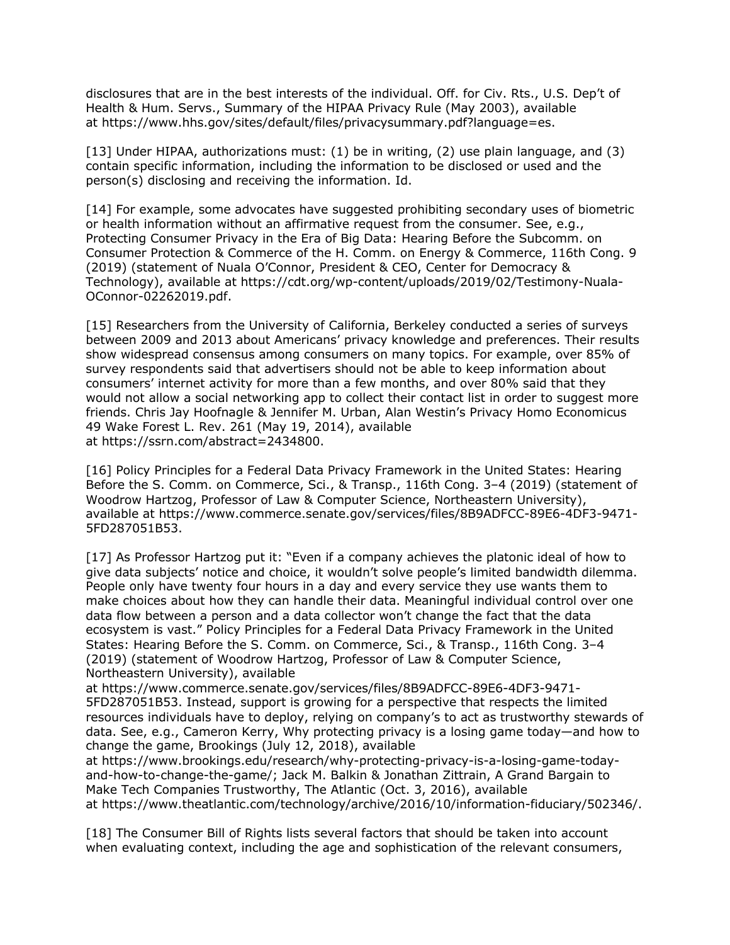disclosures that are in the best interests of the individual. Off. for Civ. Rts., U.S. Dep't of Health & Hum. Servs., Summary of the HIPAA Privacy Rule (May 2003), available at https://www.hhs.gov/sites/default/files/privacysummary.pdf?language=es.

[13] Under HIPAA, authorizations must: (1) be in writing, (2) use plain language, and (3) contain specific information, including the information to be disclosed or used and the person(s) disclosing and receiving the information. Id.

[14] For example, some advocates have suggested prohibiting secondary uses of biometric or health information without an affirmative request from the consumer. See, e.g., Protecting Consumer Privacy in the Era of Big Data: Hearing Before the Subcomm. on Consumer Protection & Commerce of the H. Comm. on Energy & Commerce, 116th Cong. 9 (2019) (statement of Nuala O'Connor, President & CEO, Center for Democracy & Technology), available at https://cdt.org/wp-content/uploads/2019/02/Testimony-Nuala-OConnor-02262019.pdf.

[15] Researchers from the University of California, Berkeley conducted a series of surveys between 2009 and 2013 about Americans' privacy knowledge and preferences. Their results show widespread consensus among consumers on many topics. For example, over 85% of survey respondents said that advertisers should not be able to keep information about consumers' internet activity for more than a few months, and over 80% said that they would not allow a social networking app to collect their contact list in order to suggest more friends. Chris Jay Hoofnagle & Jennifer M. Urban, Alan Westin's Privacy Homo Economicus 49 Wake Forest L. Rev. 261 (May 19, 2014), available at https://ssrn.com/abstract=2434800.

[16] Policy Principles for a Federal Data Privacy Framework in the United States: Hearing Before the S. Comm. on Commerce, Sci., & Transp., 116th Cong. 3–4 (2019) (statement of Woodrow Hartzog, Professor of Law & Computer Science, Northeastern University), available at https://www.commerce.senate.gov/services/files/8B9ADFCC-89E6-4DF3-9471- 5FD287051B53.

[17] As Professor Hartzog put it: "Even if a company achieves the platonic ideal of how to give data subjects' notice and choice, it wouldn't solve people's limited bandwidth dilemma. People only have twenty four hours in a day and every service they use wants them to make choices about how they can handle their data. Meaningful individual control over one data flow between a person and a data collector won't change the fact that the data ecosystem is vast." Policy Principles for a Federal Data Privacy Framework in the United States: Hearing Before the S. Comm. on Commerce, Sci., & Transp., 116th Cong. 3–4 (2019) (statement of Woodrow Hartzog, Professor of Law & Computer Science, Northeastern University), available

at https://www.commerce.senate.gov/services/files/8B9ADFCC-89E6-4DF3-9471- 5FD287051B53. Instead, support is growing for a perspective that respects the limited resources individuals have to deploy, relying on company's to act as trustworthy stewards of data. See, e.g., Cameron Kerry, Why protecting privacy is a losing game today—and how to change the game, Brookings (July 12, 2018), available

at https://www.brookings.edu/research/why-protecting-privacy-is-a-losing-game-todayand-how-to-change-the-game/; Jack M. Balkin & Jonathan Zittrain, A Grand Bargain to Make Tech Companies Trustworthy, The Atlantic (Oct. 3, 2016), available at https://www.theatlantic.com/technology/archive/2016/10/information-fiduciary/502346/.

[18] The Consumer Bill of Rights lists several factors that should be taken into account when evaluating context, including the age and sophistication of the relevant consumers,